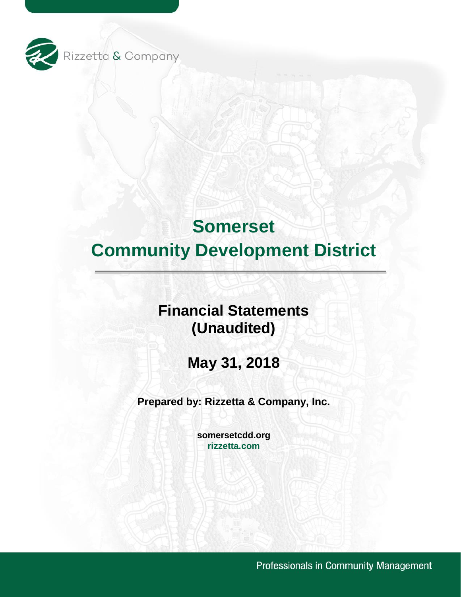

# **Financial Statements (Unaudited)**

**May 31, 2018** 

**Prepared by: Rizzetta & Company, Inc.** 

**[somersetcdd.org](https://somersetcdd.org) [rizzetta.com](https://rizzetta.com)** 

Professionals in Community Management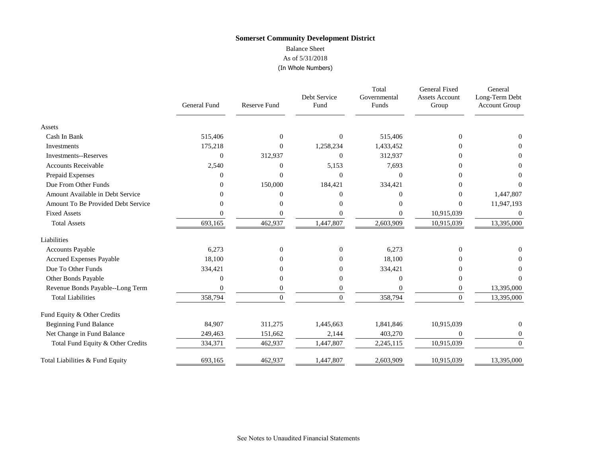## Balance Sheet

#### As of 5/31/2018 (In Whole Numbers)

|                                    | General Fund | <b>Reserve Fund</b> | Debt Service<br>Fund | Total<br>Governmental<br>Funds | General Fixed<br><b>Assets Account</b><br>Group | General<br>Long-Term Debt<br><b>Account Group</b> |
|------------------------------------|--------------|---------------------|----------------------|--------------------------------|-------------------------------------------------|---------------------------------------------------|
|                                    |              |                     |                      |                                |                                                 |                                                   |
| Assets                             |              |                     |                      |                                |                                                 |                                                   |
| Cash In Bank                       | 515,406      | $\mathbf{0}$        | $\mathbf{0}$         | 515,406                        | $\Omega$                                        | $\Omega$                                          |
| Investments                        | 175,218      | $\overline{0}$      | 1,258,234            | 1,433,452                      | 0                                               | 0                                                 |
| <b>Investments--Reserves</b>       | $\Omega$     | 312,937             | $\overline{0}$       | 312,937                        | 0                                               | $\theta$                                          |
| <b>Accounts Receivable</b>         | 2,540        | 0                   | 5,153                | 7,693                          | $\theta$                                        | $\Omega$                                          |
| Prepaid Expenses                   | 0            | $\theta$            | $\Omega$             | $\Omega$                       | 0                                               | $\Omega$                                          |
| Due From Other Funds               | 0            | 150,000             | 184,421              | 334,421                        | $\theta$                                        | $\Omega$                                          |
| Amount Available in Debt Service   | 0            | $\Omega$            | $\Omega$             | $\Omega$                       | $\Omega$                                        | 1,447,807                                         |
| Amount To Be Provided Debt Service | 0            | 0                   | $\overline{0}$       | $\Omega$                       | $\Omega$                                        | 11,947,193                                        |
| <b>Fixed Assets</b>                | 0            | 0                   | $\boldsymbol{0}$     | $\overline{0}$                 | 10,915,039                                      | $\theta$                                          |
| <b>Total Assets</b>                | 693,165      | 462,937             | 1,447,807            | 2,603,909                      | 10,915,039                                      | 13,395,000                                        |
| Liabilities                        |              |                     |                      |                                |                                                 |                                                   |
| <b>Accounts Payable</b>            | 6,273        | $\overline{0}$      | $\theta$             | 6,273                          | $\Omega$                                        | 0                                                 |
| <b>Accrued Expenses Payable</b>    | 18,100       | $\Omega$            | $\Omega$             | 18,100                         | 0                                               |                                                   |
| Due To Other Funds                 | 334,421      | 0                   | $\overline{0}$       | 334,421                        |                                                 | $\Omega$                                          |
| Other Bonds Payable                | 0            | $\Omega$            | $\boldsymbol{0}$     | $\Omega$                       | $\Omega$                                        | 0                                                 |
| Revenue Bonds Payable--Long Term   | $\Omega$     | $\mathbf{0}$        | $\boldsymbol{0}$     | $\Omega$                       | $\overline{0}$                                  | 13,395,000                                        |
| <b>Total Liabilities</b>           | 358,794      | $\Omega$            | $\theta$             | 358,794                        | $\Omega$                                        | 13,395,000                                        |
| Fund Equity & Other Credits        |              |                     |                      |                                |                                                 |                                                   |
| <b>Beginning Fund Balance</b>      | 84,907       | 311,275             | 1,445,663            | 1,841,846                      | 10,915,039                                      | $\overline{0}$                                    |
| Net Change in Fund Balance         | 249,463      | 151,662             | 2,144                | 403,270                        | $\theta$                                        | $\overline{0}$                                    |
| Total Fund Equity & Other Credits  | 334,371      | 462,937             | 1,447,807            | 2,245,115                      | 10,915,039                                      | $\overline{0}$                                    |
| Total Liabilities & Fund Equity    | 693,165      | 462,937             | 1,447,807            | 2,603,909                      | 10,915,039                                      | 13,395,000                                        |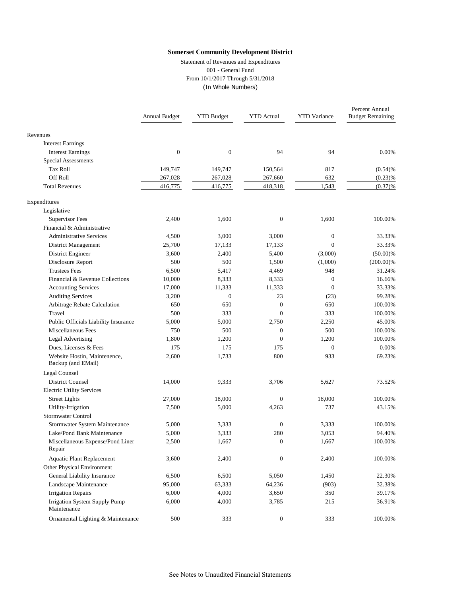Statement of Revenues and Expenditures 001 - General Fund From 10/1/2017 Through 5/31/2018 (In Whole Numbers)

|                                                    | Annual Budget    | <b>YTD Budget</b> | <b>YTD</b> Actual | <b>YTD</b> Variance | Percent Annual<br><b>Budget Remaining</b> |
|----------------------------------------------------|------------------|-------------------|-------------------|---------------------|-------------------------------------------|
| Revenues                                           |                  |                   |                   |                     |                                           |
| <b>Interest Earnings</b>                           |                  |                   |                   |                     |                                           |
| <b>Interest Earnings</b>                           | $\boldsymbol{0}$ | $\boldsymbol{0}$  | 94                | 94                  | 0.00%                                     |
| <b>Special Assessments</b>                         |                  |                   |                   |                     |                                           |
| Tax Roll                                           | 149,747          | 149,747           | 150,564           | 817                 | (0.54)%                                   |
| Off Roll                                           | 267,028          | 267,028           | 267,660           | 632                 | (0.23)%                                   |
| <b>Total Revenues</b>                              | 416,775          | 416,775           | 418,318           | 1,543               | (0.37)%                                   |
| Expenditures                                       |                  |                   |                   |                     |                                           |
| Legislative                                        |                  |                   |                   |                     |                                           |
| Supervisor Fees                                    | 2,400            | 1,600             | $\boldsymbol{0}$  | 1,600               | 100.00%                                   |
| Financial & Administrative                         |                  |                   |                   |                     |                                           |
| <b>Administrative Services</b>                     | 4,500            | 3,000             | 3,000             | $\mathbf{0}$        | 33.33%                                    |
| District Management                                | 25,700           | 17,133            | 17,133            | $\Omega$            | 33.33%                                    |
| District Engineer                                  | 3,600            | 2,400             | 5,400             | (3,000)             | $(50.00)\%$                               |
| Disclosure Report                                  | 500              | 500               | 1,500             | (1,000)             | $(200.00)\%$                              |
| <b>Trustees Fees</b>                               | 6,500            | 5,417             | 4,469             | 948                 | 31.24%                                    |
| Financial & Revenue Collections                    | 10,000           | 8,333             | 8,333             | $\mathbf{0}$        | 16.66%                                    |
| <b>Accounting Services</b>                         | 17,000           | 11,333            | 11,333            | $\mathbf{0}$        | 33.33%                                    |
| <b>Auditing Services</b>                           | 3,200            | $\mathbf{0}$      | 23                | (23)                | 99.28%                                    |
| Arbitrage Rebate Calculation                       | 650              | 650               | $\boldsymbol{0}$  | 650                 | 100.00%                                   |
| Travel                                             | 500              | 333               | $\overline{0}$    | 333                 | 100.00%                                   |
| Public Officials Liability Insurance               | 5,000            | 5,000             | 2,750             | 2,250               | 45.00%                                    |
| Miscellaneous Fees                                 | 750              | 500               | $\boldsymbol{0}$  | 500                 | 100.00%                                   |
| <b>Legal Advertising</b>                           | 1,800            | 1,200             | $\overline{0}$    | 1,200               | 100.00%                                   |
| Dues, Licenses & Fees                              | 175              | 175               | 175               | $\mathbf{0}$        | 0.00%                                     |
| Website Hostin, Maintenence,<br>Backup (and EMail) | 2,600            | 1,733             | 800               | 933                 | 69.23%                                    |
| Legal Counsel                                      |                  |                   |                   |                     |                                           |
| <b>District Counsel</b>                            | 14,000           | 9,333             | 3,706             | 5,627               | 73.52%                                    |
| <b>Electric Utility Services</b>                   |                  |                   |                   |                     |                                           |
| <b>Street Lights</b>                               | 27,000           | 18,000            | $\overline{0}$    | 18,000              | 100.00%                                   |
| Utility-Irrigation                                 | 7,500            | 5,000             | 4,263             | 737                 | 43.15%                                    |
| Stormwater Control                                 |                  |                   |                   |                     |                                           |
| Stormwater System Maintenance                      | 5,000            | 3,333             | $\boldsymbol{0}$  | 3,333               | 100.00%                                   |
| Lake/Pond Bank Maintenance                         | 5,000            | 3,333             | 280               | 3,053               | 94.40%                                    |
| Miscellaneous Expense/Pond Liner<br>Repair         | 2,500            | 1,667             | $\overline{0}$    | 1,667               | 100.00%                                   |
| <b>Aquatic Plant Replacement</b>                   | 3,600            | 2,400             | $\boldsymbol{0}$  | 2,400               | 100.00%                                   |
| Other Physical Environment                         |                  |                   |                   |                     |                                           |
| General Liability Insurance                        | 6,500            | 6,500             | 5,050             | 1,450               | 22.30%                                    |
| Landscape Maintenance                              | 95,000           | 63,333            | 64,236            | (903)               | 32.38%                                    |
| <b>Irrigation Repairs</b>                          | 6,000            | 4,000             | 3,650             | 350                 | 39.17%                                    |
| Irrigation System Supply Pump<br>Maintenance       | 6,000            | 4,000             | 3,785             | 215                 | 36.91%                                    |
| Ornamental Lighting & Maintenance                  | 500              | 333               | $\boldsymbol{0}$  | 333                 | 100.00%                                   |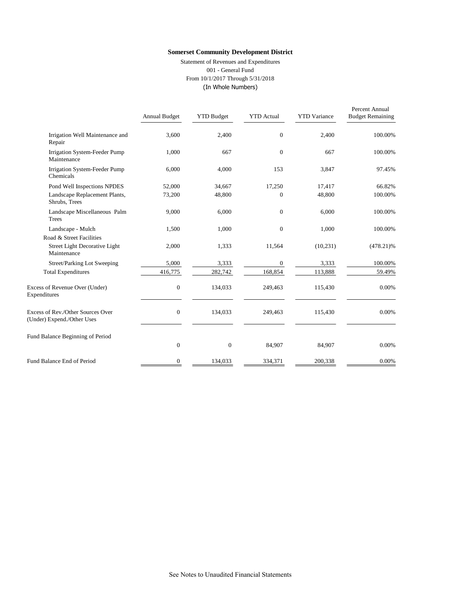Statement of Revenues and Expenditures 001 - General Fund From 10/1/2017 Through 5/31/2018 (In Whole Numbers)

|                                                                 | Annual Budget | <b>YTD Budget</b> | <b>YTD</b> Actual | <b>YTD</b> Variance | Percent Annual<br><b>Budget Remaining</b> |
|-----------------------------------------------------------------|---------------|-------------------|-------------------|---------------------|-------------------------------------------|
| Irrigation Well Maintenance and<br>Repair                       | 3,600         | 2,400             | $\overline{0}$    | 2,400               | 100.00%                                   |
| Irrigation System-Feeder Pump<br>Maintenance                    | 1,000         | 667               | $\overline{0}$    | 667                 | 100.00%                                   |
| Irrigation System-Feeder Pump<br>Chemicals                      | 6,000         | 4,000             | 153               | 3,847               | 97.45%                                    |
| Pond Well Inspections NPDES                                     | 52,000        | 34,667            | 17,250            | 17,417              | 66.82%                                    |
| Landscape Replacement Plants,<br>Shrubs, Trees                  | 73,200        | 48,800            | $\Omega$          | 48,800              | 100.00%                                   |
| Landscape Miscellaneous Palm<br>Trees                           | 9,000         | 6,000             | $\overline{0}$    | 6,000               | 100.00%                                   |
| Landscape - Mulch                                               | 1,500         | 1,000             | $\overline{0}$    | 1,000               | 100.00%                                   |
| Road & Street Facilities                                        |               |                   |                   |                     |                                           |
| Street Light Decorative Light<br>Maintenance                    | 2,000         | 1,333             | 11,564            | (10, 231)           | $(478.21)\%$                              |
| Street/Parking Lot Sweeping                                     | 5,000         | 3,333             | $\mathbf{0}$      | 3,333               | 100.00%                                   |
| <b>Total Expenditures</b>                                       | 416,775       | 282,742           | 168,854           | 113,888             | 59.49%                                    |
| Excess of Revenue Over (Under)<br>Expenditures                  | $\mathbf{0}$  | 134,033           | 249,463           | 115,430             | 0.00%                                     |
| Excess of Rev./Other Sources Over<br>(Under) Expend./Other Uses | $\mathbf{0}$  | 134,033           | 249,463           | 115,430             | 0.00%                                     |
| Fund Balance Beginning of Period                                |               |                   |                   |                     |                                           |
|                                                                 | $\mathbf{0}$  | $\boldsymbol{0}$  | 84,907            | 84,907              | 0.00%                                     |
| Fund Balance End of Period                                      | $\mathbf{0}$  | 134,033           | 334,371           | 200,338             | 0.00%                                     |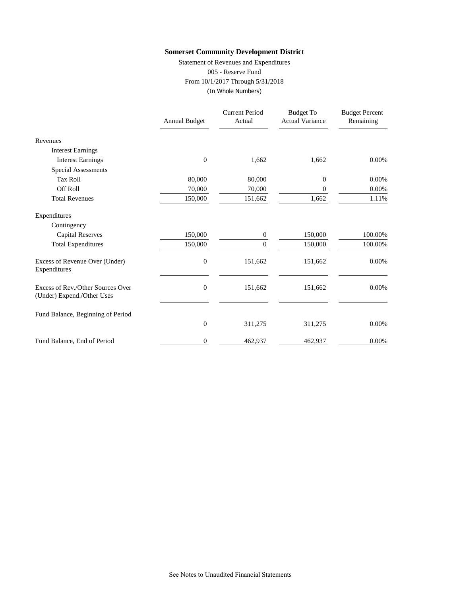Statement of Revenues and Expenditures 005 - Reserve Fund From 10/1/2017 Through 5/31/2018 (In Whole Numbers)

|                                                                 | <b>Annual Budget</b> | <b>Current Period</b><br>Actual | <b>Budget To</b><br><b>Actual Variance</b> | <b>Budget Percent</b><br>Remaining |
|-----------------------------------------------------------------|----------------------|---------------------------------|--------------------------------------------|------------------------------------|
| Revenues                                                        |                      |                                 |                                            |                                    |
| <b>Interest Earnings</b>                                        |                      |                                 |                                            |                                    |
| <b>Interest Earnings</b>                                        | $\overline{0}$       | 1,662                           | 1,662                                      | 0.00%                              |
| <b>Special Assessments</b>                                      |                      |                                 |                                            |                                    |
| <b>Tax Roll</b>                                                 | 80,000               | 80,000                          | 0                                          | 0.00%                              |
| <b>Off Roll</b>                                                 | 70,000               | 70,000                          | 0                                          | 0.00%                              |
| <b>Total Revenues</b>                                           | 150,000              | 151,662                         | 1,662                                      | 1.11%                              |
| Expenditures                                                    |                      |                                 |                                            |                                    |
| Contingency                                                     |                      |                                 |                                            |                                    |
| <b>Capital Reserves</b>                                         | 150,000              | 0                               | 150,000                                    | 100.00%                            |
| <b>Total Expenditures</b>                                       | 150,000              | $\Omega$                        | 150,000                                    | 100.00%                            |
| Excess of Revenue Over (Under)<br>Expenditures                  | $\boldsymbol{0}$     | 151,662                         | 151,662                                    | 0.00%                              |
| Excess of Rev./Other Sources Over<br>(Under) Expend./Other Uses | $\overline{0}$       | 151,662                         | 151,662                                    | 0.00%                              |
| Fund Balance, Beginning of Period                               |                      |                                 |                                            |                                    |
|                                                                 | $\boldsymbol{0}$     | 311,275                         | 311,275                                    | 0.00%                              |
| Fund Balance, End of Period                                     | 0                    | 462,937                         | 462,937                                    | 0.00%                              |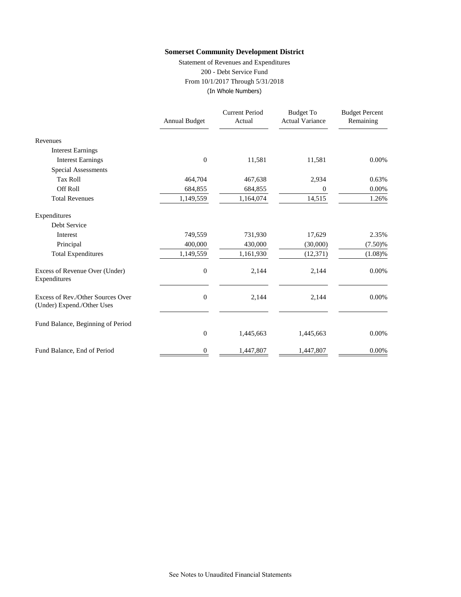Statement of Revenues and Expenditures 200 - Debt Service Fund From 10/1/2017 Through 5/31/2018 (In Whole Numbers)

|                                                                 | <b>Annual Budget</b> | <b>Current Period</b><br>Actual | <b>Budget To</b><br><b>Actual Variance</b> | <b>Budget Percent</b><br>Remaining |
|-----------------------------------------------------------------|----------------------|---------------------------------|--------------------------------------------|------------------------------------|
| Revenues                                                        |                      |                                 |                                            |                                    |
| <b>Interest Earnings</b>                                        |                      |                                 |                                            |                                    |
| <b>Interest Earnings</b>                                        | $\boldsymbol{0}$     | 11,581                          | 11,581                                     | 0.00%                              |
| Special Assessments                                             |                      |                                 |                                            |                                    |
| <b>Tax Roll</b>                                                 | 464,704              | 467,638                         | 2,934                                      | 0.63%                              |
| Off Roll                                                        | 684,855              | 684,855                         | 0                                          | 0.00%                              |
| <b>Total Revenues</b>                                           | 1,149,559            | 1,164,074                       | 14,515                                     | 1.26%                              |
| Expenditures                                                    |                      |                                 |                                            |                                    |
| Debt Service                                                    |                      |                                 |                                            |                                    |
| Interest                                                        | 749,559              | 731,930                         | 17,629                                     | 2.35%                              |
| Principal                                                       | 400,000              | 430,000                         | (30,000)                                   | (7.50)%                            |
| <b>Total Expenditures</b>                                       | 1,149,559            | 1,161,930                       | (12, 371)                                  | $(1.08)\%$                         |
| Excess of Revenue Over (Under)<br>Expenditures                  | $\boldsymbol{0}$     | 2,144                           | 2,144                                      | 0.00%                              |
| Excess of Rev./Other Sources Over<br>(Under) Expend./Other Uses | $\mathbf{0}$         | 2,144                           | 2,144                                      | 0.00%                              |
| Fund Balance, Beginning of Period                               |                      |                                 |                                            |                                    |
|                                                                 | $\mathbf{0}$         | 1,445,663                       | 1,445,663                                  | 0.00%                              |
| Fund Balance, End of Period                                     | 0                    | 1,447,807                       | 1,447,807                                  | 0.00%                              |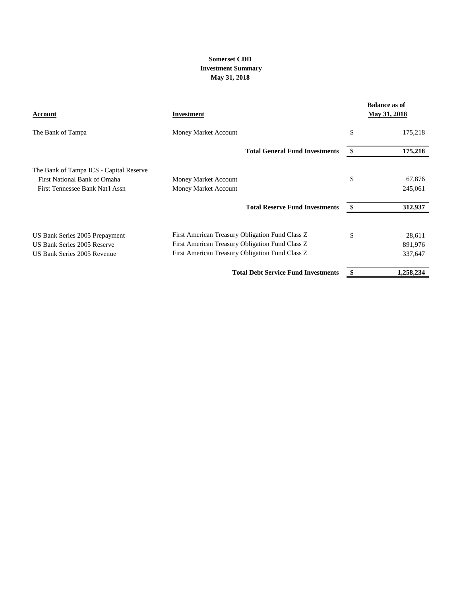#### **May 31, 2018 Somerset CDD Investment Summary**

| Account                                 | <b>Investment</b>                               | <b>Balance as of</b><br>May 31, 2018 |
|-----------------------------------------|-------------------------------------------------|--------------------------------------|
| The Bank of Tampa                       | Money Market Account                            | \$<br>175,218                        |
|                                         | <b>Total General Fund Investments</b>           | 175,218                              |
| The Bank of Tampa ICS - Capital Reserve |                                                 |                                      |
| First National Bank of Omaha            | Money Market Account                            | \$<br>67,876                         |
| First Tennessee Bank Nat'l Assn         | Money Market Account                            | 245,061                              |
|                                         | <b>Total Reserve Fund Investments</b>           | 312,937                              |
| US Bank Series 2005 Prepayment          | First American Treasury Obligation Fund Class Z | \$<br>28,611                         |
| US Bank Series 2005 Reserve             | First American Treasury Obligation Fund Class Z | 891,976                              |
| US Bank Series 2005 Revenue             | First American Treasury Obligation Fund Class Z | 337,647                              |
|                                         | <b>Total Debt Service Fund Investments</b>      | \$<br>1,258,234                      |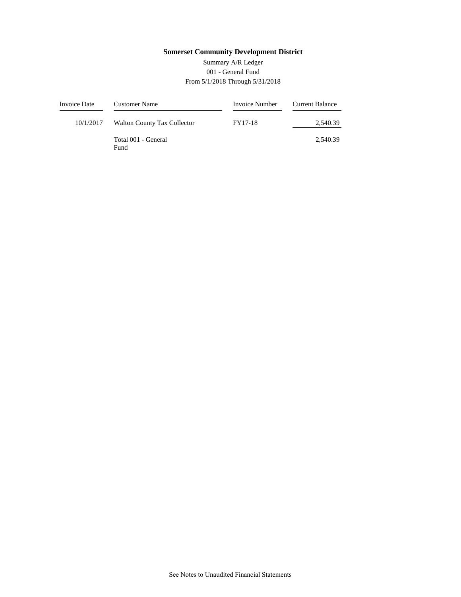#### 001 - General Fund From 5/1/2018 Through 5/31/2018 Summary A/R Ledger

| Invoice Date | Customer Name                      | Invoice Number | Current Balance |
|--------------|------------------------------------|----------------|-----------------|
| 10/1/2017    | <b>Walton County Tax Collector</b> | FY17-18        | 2.540.39        |
|              | Total 001 - General<br>Fund        |                | 2.540.39        |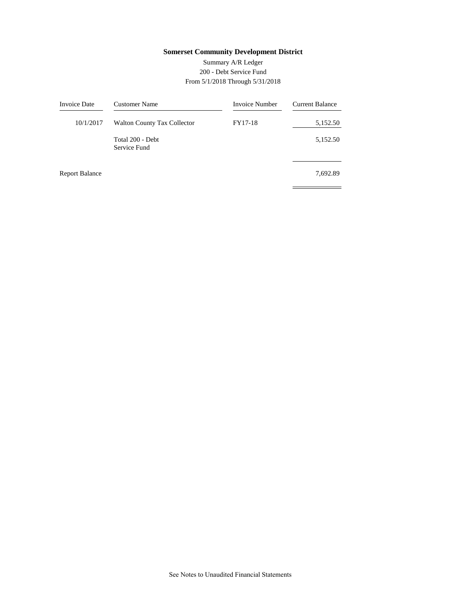#### 200 - Debt Service Fund From 5/1/2018 Through 5/31/2018 Summary A/R Ledger

 $\equiv$ 

| <b>Invoice Date</b>   | <b>Customer Name</b>               | Invoice Number | <b>Current Balance</b> |
|-----------------------|------------------------------------|----------------|------------------------|
| 10/1/2017             | <b>Walton County Tax Collector</b> | FY17-18        | 5,152.50               |
|                       | Total 200 - Debt<br>Service Fund   |                | 5,152.50               |
| <b>Report Balance</b> |                                    |                | 7,692.89               |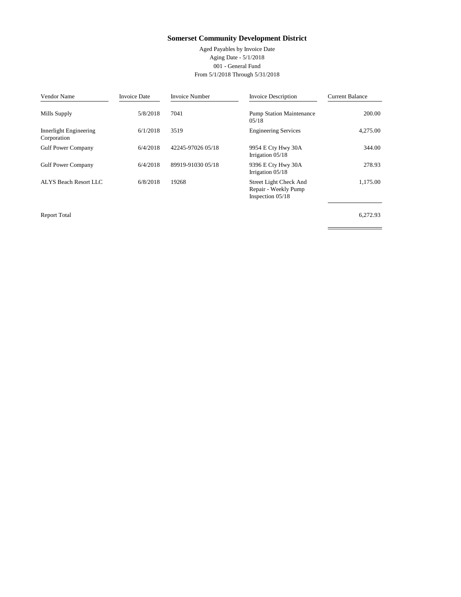Aged Payables by Invoice Date Aging Date - 5/1/2018 001 - General Fund From 5/1/2018 Through 5/31/2018

| Vendor Name                           | <b>Invoice Date</b> | <b>Invoice Number</b> | <b>Invoice Description</b>                                           | <b>Current Balance</b> |
|---------------------------------------|---------------------|-----------------------|----------------------------------------------------------------------|------------------------|
| Mills Supply                          | 5/8/2018            | 7041                  | <b>Pump Station Maintenance</b><br>05/18                             | 200.00                 |
| Innerlight Engineering<br>Corporation | 6/1/2018            | 3519                  | <b>Engineering Services</b>                                          | 4,275.00               |
| <b>Gulf Power Company</b>             | 6/4/2018            | 42245-97026 05/18     | 9954 E Cty Hwy 30A<br>Irrigation $05/18$                             | 344.00                 |
| <b>Gulf Power Company</b>             | 6/4/2018            | 89919-91030 05/18     | 9396 E Cty Hwy 30A<br>Irrigation $05/18$                             | 278.93                 |
| ALYS Beach Resort LLC                 | 6/8/2018            | 19268                 | Street Light Check And<br>Repair - Weekly Pump<br>Inspection $05/18$ | 1,175.00               |

Report Total Report Total 6,272.93

 $\qquad \qquad =$